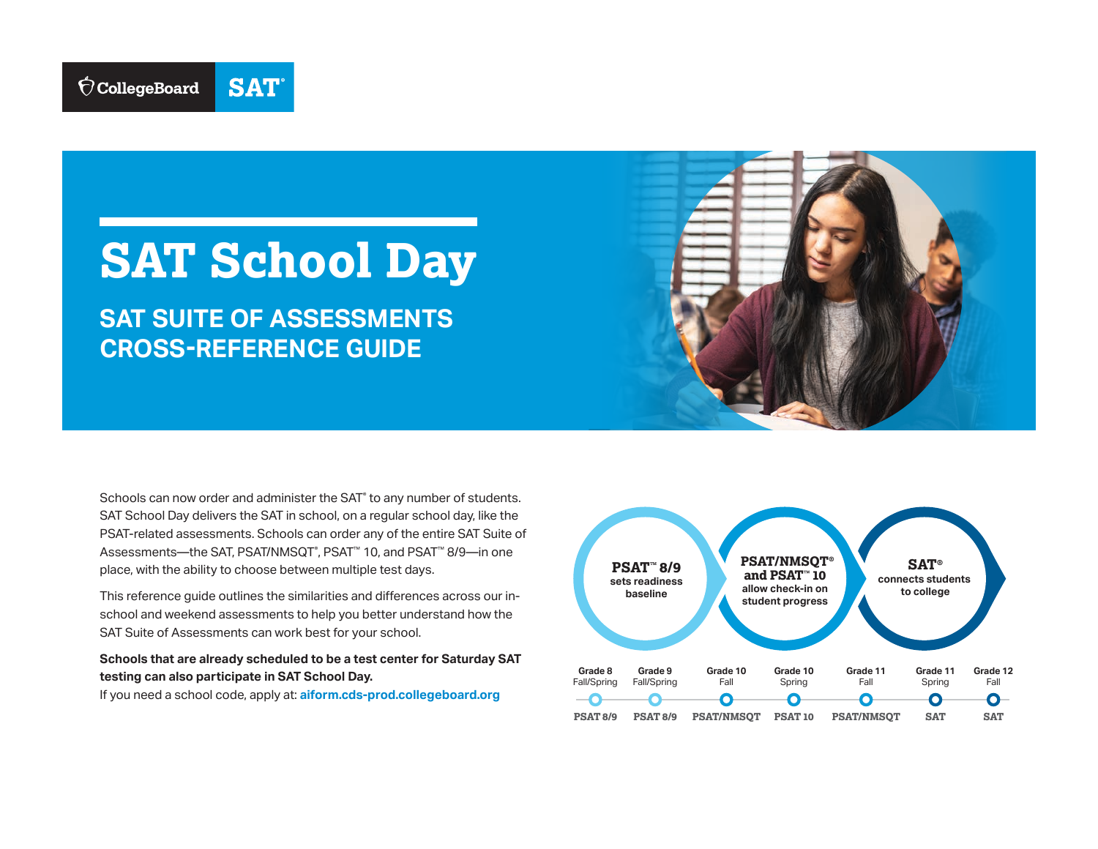

**SAT SUITE OF ASSESSMENTS CROSS-REFERENCE GUIDE** 

Schools can now order and administer the SAT® to any number of students. SAT School Day delivers the SAT in school, on a regular school day, like the PSAT-related assessments. Schools can order any of the entire SAT Suite of Assessments—the SAT, PSAT/NMSQT® , PSAT™ 10, and PSAT™ 8/9—in one place, with the ability to choose between multiple test days.

This reference guide outlines the similarities and differences across our inschool and weekend assessments to help you better understand how the SAT Suite of Assessments can work best for your school.

## **Schools that are already scheduled to be a test center for Saturday SAT testing can also participate in SAT School Day.**

If you need a school code, apply at: **[aiform.cds-prod.collegeboard.org](http://aiform.cds-prod.collegeboard.org)**



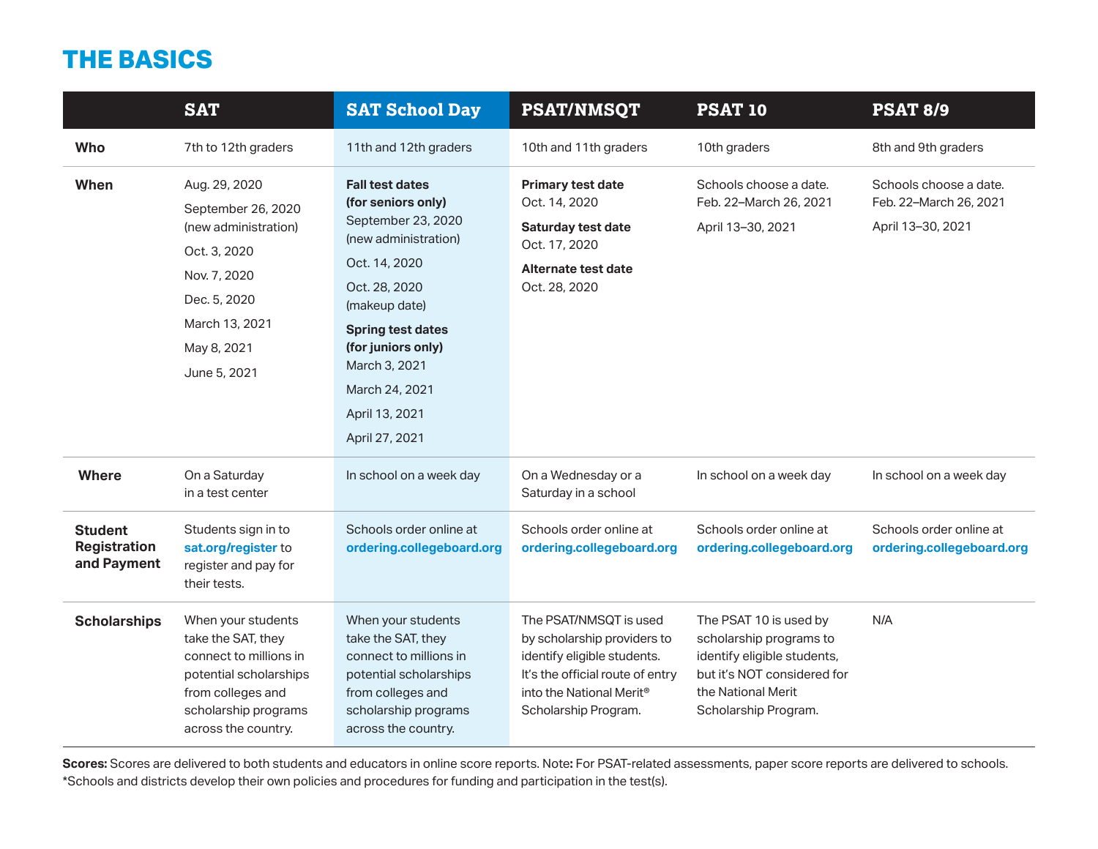## **THE BASICS**

|                                                      | <b>SAT</b>                                                                                                                                                       | <b>SAT School Day</b>                                                                                                                                                                                                                                                  | <b>PSAT/NMSQT</b>                                                                                                                                                                        | <b>PSAT 10</b>                                                                                                                                                | <b>PSAT 8/9</b>                                                       |
|------------------------------------------------------|------------------------------------------------------------------------------------------------------------------------------------------------------------------|------------------------------------------------------------------------------------------------------------------------------------------------------------------------------------------------------------------------------------------------------------------------|------------------------------------------------------------------------------------------------------------------------------------------------------------------------------------------|---------------------------------------------------------------------------------------------------------------------------------------------------------------|-----------------------------------------------------------------------|
| Who                                                  | 7th to 12th graders                                                                                                                                              | 11th and 12th graders                                                                                                                                                                                                                                                  | 10th and 11th graders                                                                                                                                                                    | 10th graders                                                                                                                                                  | 8th and 9th graders                                                   |
| When                                                 | Aug. 29, 2020<br>September 26, 2020<br>(new administration)<br>Oct. 3, 2020<br>Nov. 7, 2020<br>Dec. 5, 2020<br>March 13, 2021<br>May 8, 2021<br>June 5, 2021     | <b>Fall test dates</b><br>(for seniors only)<br>September 23, 2020<br>(new administration)<br>Oct. 14, 2020<br>Oct. 28, 2020<br>(makeup date)<br><b>Spring test dates</b><br>(for juniors only)<br>March 3, 2021<br>March 24, 2021<br>April 13, 2021<br>April 27, 2021 | Primary test date<br>Oct. 14, 2020<br>Saturday test date<br>Oct. 17, 2020<br>Alternate test date<br>Oct. 28, 2020                                                                        | Schools choose a date.<br>Feb. 22-March 26, 2021<br>April 13-30, 2021                                                                                         | Schools choose a date.<br>Feb. 22-March 26, 2021<br>April 13-30, 2021 |
| <b>Where</b>                                         | On a Saturday<br>in a test center                                                                                                                                | In school on a week day                                                                                                                                                                                                                                                | On a Wednesday or a<br>Saturday in a school                                                                                                                                              | In school on a week day                                                                                                                                       | In school on a week day                                               |
| <b>Student</b><br><b>Registration</b><br>and Payment | Students sign in to<br>sat.org/register to<br>register and pay for<br>their tests.                                                                               | Schools order online at<br>ordering.collegeboard.org                                                                                                                                                                                                                   | Schools order online at<br>ordering.collegeboard.org                                                                                                                                     | Schools order online at<br>ordering.collegeboard.org                                                                                                          | Schools order online at<br>ordering.collegeboard.org                  |
| <b>Scholarships</b>                                  | When your students<br>take the SAT, they<br>connect to millions in<br>potential scholarships<br>from colleges and<br>scholarship programs<br>across the country. | When your students<br>take the SAT, they<br>connect to millions in<br>potential scholarships<br>from colleges and<br>scholarship programs<br>across the country.                                                                                                       | The PSAT/NMSQT is used<br>by scholarship providers to<br>identify eligible students.<br>It's the official route of entry<br>into the National Merit <sup>®</sup><br>Scholarship Program. | The PSAT 10 is used by<br>scholarship programs to<br>identify eligible students,<br>but it's NOT considered for<br>the National Merit<br>Scholarship Program. | N/A                                                                   |

**Scores:** Scores are delivered to both students and educators in online score reports. Note**:** For PSAT-related assessments, paper score reports are delivered to schools. \*Schools and districts develop their own policies and procedures for funding and participation in the test(s).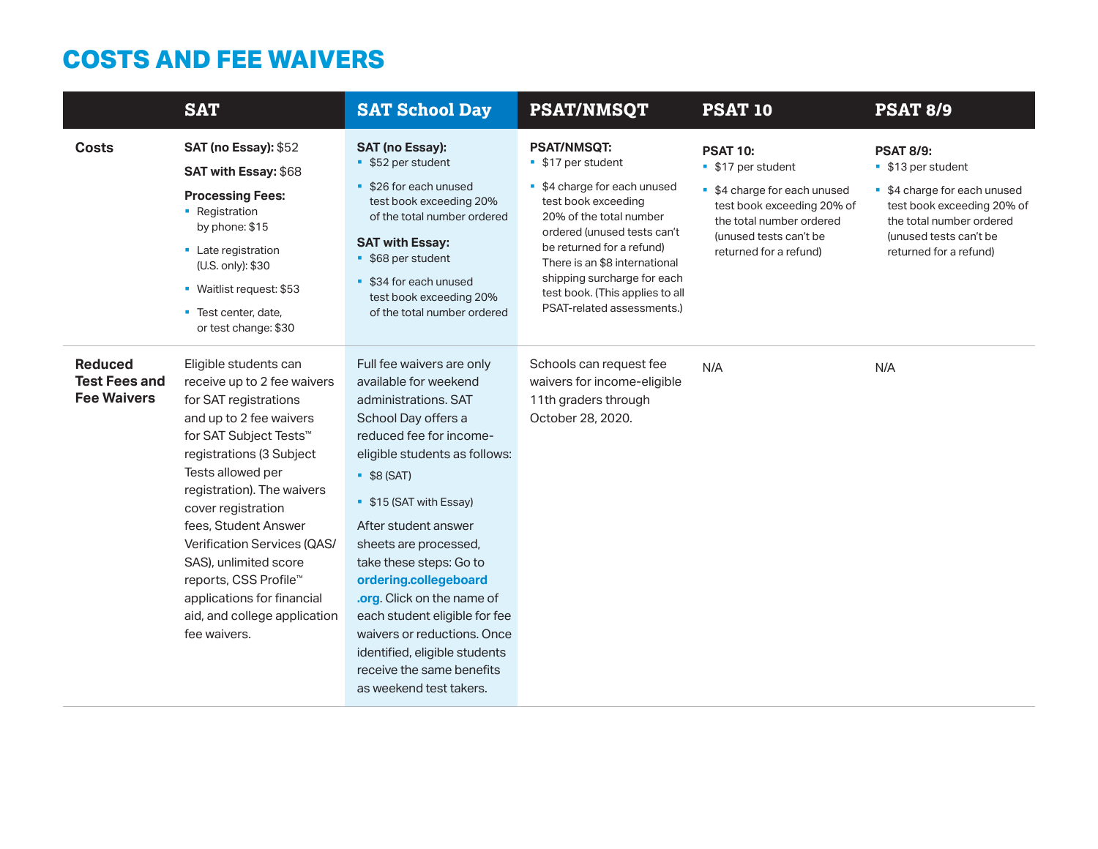## **COSTS AND FEE WAIVERS**

|                                                              | <b>SAT</b>                                                                                                                                                                                                                                                                                                                                                                                                                                 | <b>SAT School Day</b>                                                                                                                                                                                                                                                                                                                                                                                                                                                                                 | <b>PSAT/NMSQT</b>                                                                                                                                                                                                                                                                                                       | <b>PSAT 10</b>                                                                                                                                                                         | <b>PSAT 8/9</b>                                                                                                                                                                      |
|--------------------------------------------------------------|--------------------------------------------------------------------------------------------------------------------------------------------------------------------------------------------------------------------------------------------------------------------------------------------------------------------------------------------------------------------------------------------------------------------------------------------|-------------------------------------------------------------------------------------------------------------------------------------------------------------------------------------------------------------------------------------------------------------------------------------------------------------------------------------------------------------------------------------------------------------------------------------------------------------------------------------------------------|-------------------------------------------------------------------------------------------------------------------------------------------------------------------------------------------------------------------------------------------------------------------------------------------------------------------------|----------------------------------------------------------------------------------------------------------------------------------------------------------------------------------------|--------------------------------------------------------------------------------------------------------------------------------------------------------------------------------------|
| <b>Costs</b>                                                 | SAT (no Essay): \$52<br>SAT with Essay: \$68<br><b>Processing Fees:</b><br>• Registration<br>by phone: \$15<br>• Late registration<br>(U.S. only): \$30<br>• Waitlist request: \$53<br>" Test center, date,<br>or test change: \$30                                                                                                                                                                                                        | SAT (no Essay):<br>• \$52 per student<br>• \$26 for each unused<br>test book exceeding 20%<br>of the total number ordered<br><b>SAT with Essay:</b><br>• \$68 per student<br>• \$34 for each unused<br>test book exceeding 20%<br>of the total number ordered                                                                                                                                                                                                                                         | <b>PSAT/NMSQT:</b><br>• \$17 per student<br>• \$4 charge for each unused<br>test book exceeding<br>20% of the total number<br>ordered (unused tests can't<br>be returned for a refund)<br>There is an \$8 international<br>shipping surcharge for each<br>test book. (This applies to all<br>PSAT-related assessments.) | <b>PSAT 10:</b><br>• \$17 per student<br>\$4 charge for each unused<br>ш<br>test book exceeding 20% of<br>the total number ordered<br>(unused tests can't be<br>returned for a refund) | <b>PSAT 8/9:</b><br>• \$13 per student<br>• \$4 charge for each unused<br>test book exceeding 20% of<br>the total number ordered<br>(unused tests can't be<br>returned for a refund) |
| <b>Reduced</b><br><b>Test Fees and</b><br><b>Fee Waivers</b> | Eligible students can<br>receive up to 2 fee waivers<br>for SAT registrations<br>and up to 2 fee waivers<br>for SAT Subject Tests <sup>™</sup><br>registrations (3 Subject<br>Tests allowed per<br>registration). The waivers<br>cover registration<br>fees, Student Answer<br>Verification Services (QAS/<br>SAS), unlimited score<br>reports, CSS Profile™<br>applications for financial<br>aid, and college application<br>fee waivers. | Full fee waivers are only<br>available for weekend<br>administrations, SAT<br>School Day offers a<br>reduced fee for income-<br>eligible students as follows:<br>\$8(SAT)<br><b>S</b> 15 (SAT with Essay)<br>After student answer<br>sheets are processed,<br>take these steps: Go to<br>ordering.collegeboard<br>.org. Click on the name of<br>each student eligible for fee<br>waivers or reductions. Once<br>identified, eligible students<br>receive the same benefits<br>as weekend test takers. | Schools can request fee<br>waivers for income-eligible<br>11th graders through<br>October 28, 2020.                                                                                                                                                                                                                     | N/A                                                                                                                                                                                    | N/A                                                                                                                                                                                  |